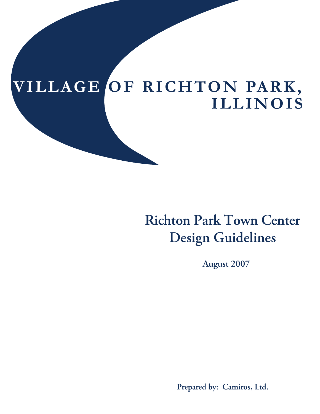# **VI L L A G E OF R I C HTO N PA R K , I LL I N OI S**

# **Richton Park Town Center Design Guidelines**

**August 2007**

**Prepared by: Camiros, Ltd.**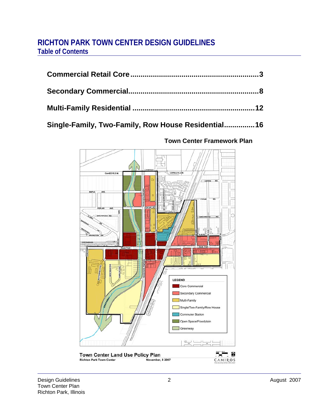# **RICHTON PARK TOWN CENTER DESIGN GUIDELINES Table of Contents**

# **Single-Family, Two-Family, Row House Residential...............16**



# **Town Center Framework Plan**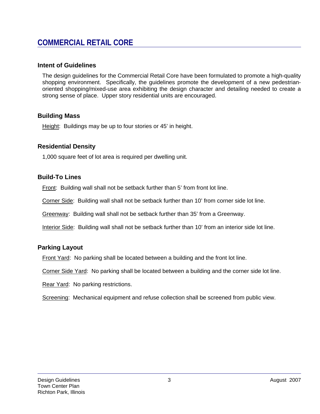# **COMMERCIAL RETAIL CORE**

## **Intent of Guidelines**

The design guidelines for the Commercial Retail Core have been formulated to promote a high-quality shopping environment. Specifically, the guidelines promote the development of a new pedestrianoriented shopping/mixed-use area exhibiting the design character and detailing needed to create a strong sense of place. Upper story residential units are encouraged.

### **Building Mass**

Height: Buildings may be up to four stories or 45' in height.

### **Residential Density**

1,000 square feet of lot area is required per dwelling unit.

### **Build-To Lines**

Front: Building wall shall not be setback further than 5' from front lot line.

Corner Side: Building wall shall not be setback further than 10' from corner side lot line.

Greenway: Building wall shall not be setback further than 35' from a Greenway.

Interior Side: Building wall shall not be setback further than 10' from an interior side lot line.

# **Parking Layout**

Front Yard: No parking shall be located between a building and the front lot line.

Corner Side Yard: No parking shall be located between a building and the corner side lot line.

Rear Yard: No parking restrictions.

Screening: Mechanical equipment and refuse collection shall be screened from public view.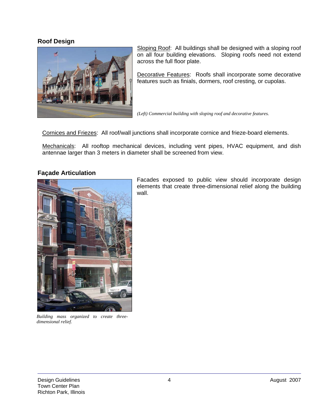#### **Roof Design**



Sloping Roof: All buildings shall be designed with a sloping roof on all four building elevations. Sloping roofs need not extend across the full floor plate.

Decorative Features: Roofs shall incorporate some decorative features such as finials, dormers, roof cresting, or cupolas.

*(Left) Commercial building with sloping roof and decorative features.* 

Cornices and Friezes: All roof/wall junctions shall incorporate cornice and frieze-board elements.

Mechanicals: All rooftop mechanical devices, including vent pipes, HVAC equipment, and dish antennae larger than 3 meters in diameter shall be screened from view.

#### **Façade Articulation**



Facades exposed to public view should incorporate design elements that create three-dimensional relief along the building wall.

*Building mass organized to create threedimensional relief.*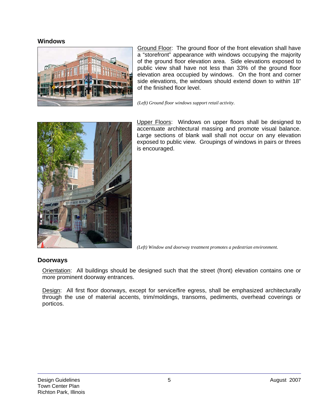#### **Windows**



Ground Floor: The ground floor of the front elevation shall have a "storefront" appearance with windows occupying the majority of the ground floor elevation area. Side elevations exposed to public view shall have not less than 33% of the ground floor elevation area occupied by windows. On the front and corner side elevations, the windows should extend down to within 18" of the finished floor level.

*(Left) Ground floor windows support retail activity*.



Upper Floors: Windows on upper floors shall be designed to accentuate architectural massing and promote visual balance. Large sections of blank wall shall not occur on any elevation exposed to public view. Groupings of windows in pairs or threes is encouraged.

*(Left) Window and doorway treatment promotes a pedestrian environment.* 

#### **Doorways**

Orientation: All buildings should be designed such that the street (front) elevation contains one or more prominent doorway entrances.

Design: All first floor doorways, except for service/fire egress, shall be emphasized architecturally through the use of material accents, trim/moldings, transoms, pediments, overhead coverings or porticos.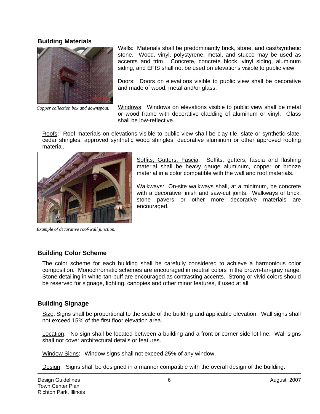#### **Building Materials**



*Copper collection box and downspout.* 

Walls: Materials shall be predominantly brick, stone, and cast/synthetic stone. Wood, vinyl, polystyrene, metal, and stucco may be used as accents and trim. Concrete, concrete block, vinyl siding, aluminum siding, and EFIS shall not be used on elevations visible to public view.

Doors: Doors on elevations visible to public view shall be decorative and made of wood, metal and/or glass.

Windows: Windows on elevations visible to public view shall be metal or wood frame with decorative cladding of aluminum or vinyl. Glass shall be low-reflective.

Roofs: Roof materials on elevations visible to public view shall be clay tile, slate or synthetic slate, cedar shingles, approved synthetic wood shingles, decorative aluminum or other approved roofing material.



Soffits, Gutters, Fascia: Soffits, gutters, fascia and flashing material shall be heavy gauge aluminum, copper or bronze material in a color compatible with the wall and roof materials.

Walkways: On-site walkways shall, at a minimum, be concrete with a decorative finish and saw-cut joints. Walkways of brick, stone pavers or other more decorative materials are encouraged.

*Example of decorative roof-wall junction.*

# **Building Color Scheme**

The color scheme for each building shall be carefully considered to achieve a harmonious color composition. Monochromatic schemes are encouraged in neutral colors in the brown-tan-gray range. Stone detailing in white-tan-buff are encouraged as contrasting accents. Strong or vivid colors should be reserved for signage, lighting, canopies and other minor features, if used at all.

# **Building Signage**

Size: Signs shall be proportional to the scale of the building and applicable elevation. Wall signs shall not exceed 15% of the first floor elevation area.

Location: No sign shall be located between a building and a front or corner side lot line. Wall signs shall not cover architectural details or features.

Window Signs: Window signs shall not exceed 25% of any window.

Design: Signs shall be designed in a manner compatible with the overall design of the building.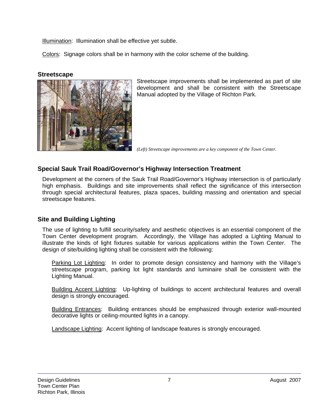Illumination: Illumination shall be effective yet subtle.

Colors: Signage colors shall be in harmony with the color scheme of the building.

## **Streetscape**



Streetscape improvements shall be implemented as part of site development and shall be consistent with the Streetscape Manual adopted by the Village of Richton Park.

*(Left) Streetscape improvements are a key component of the Town Center.* 

# **Special Sauk Trail Road/Governor's Highway Intersection Treatment**

Development at the corners of the Sauk Trail Road/Governor's Highway intersection is of particularly high emphasis. Buildings and site improvements shall reflect the significance of this intersection through special architectural features, plaza spaces, building massing and orientation and special streetscape features.

# **Site and Building Lighting**

The use of lighting to fulfill security/safety and aesthetic objectives is an essential component of the Town Center development program. Accordingly, the Village has adopted a Lighting Manual to illustrate the kinds of light fixtures suitable for various applications within the Town Center. The design of site/building lighting shall be consistent with the following:

Parking Lot Lighting: In order to promote design consistency and harmony with the Village's streetscape program, parking lot light standards and luminaire shall be consistent with the Lighting Manual.

Building Accent Lighting: Up-lighting of buildings to accent architectural features and overall design is strongly encouraged.

Building Entrances: Building entrances should be emphasized through exterior wall-mounted decorative lights or ceiling-mounted lights in a canopy.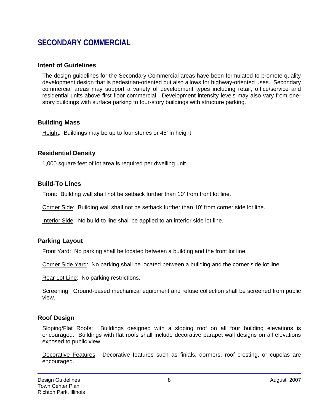# **SECONDARY COMMERCIAL**

#### **Intent of Guidelines**

The design guidelines for the Secondary Commercial areas have been formulated to promote quality development design that is pedestrian-oriented but also allows for highway-oriented uses. Secondary commercial areas may support a variety of development types including retail, office/service and residential units above first floor commercial. Development intensity levels may also vary from onestory buildings with surface parking to four-story buildings with structure parking.

#### **Building Mass**

Height: Buildings may be up to four stories or 45' in height.

### **Residential Density**

1,000 square feet of lot area is required per dwelling unit.

### **Build-To Lines**

Front: Building wall shall not be setback further than 10' from front lot line.

Corner Side: Building wall shall not be setback further than 10' from corner side lot line.

Interior Side: No build-to line shall be applied to an interior side lot line.

#### **Parking Layout**

Front Yard: No parking shall be located between a building and the front lot line.

Corner Side Yard: No parking shall be located between a building and the corner side lot line.

Rear Lot Line: No parking restrictions.

Screening: Ground-based mechanical equipment and refuse collection shall be screened from public view.

# **Roof Design**

Sloping/Flat Roofs: Buildings designed with a sloping roof on all four building elevations is encouraged. Buildings with flat roofs shall include decorative parapet wall designs on all elevations exposed to public view.

Decorative Features: Decorative features such as finials, dormers, roof cresting, or cupolas are encouraged.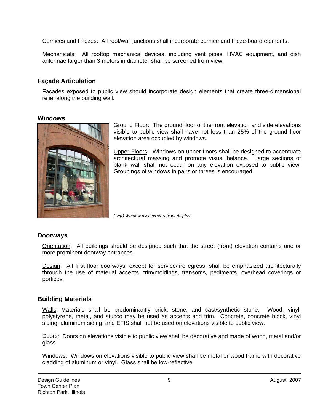Cornices and Friezes: All roof/wall junctions shall incorporate cornice and frieze-board elements.

Mechanicals: All rooftop mechanical devices, including vent pipes, HVAC equipment, and dish antennae larger than 3 meters in diameter shall be screened from view.

## **Façade Articulation**

Facades exposed to public view should incorporate design elements that create three-dimensional relief along the building wall.

#### **Windows**



Ground Floor: The ground floor of the front elevation and side elevations visible to public view shall have not less than 25% of the ground floor elevation area occupied by windows.

Upper Floors: Windows on upper floors shall be designed to accentuate architectural massing and promote visual balance. Large sections of blank wall shall not occur on any elevation exposed to public view. Groupings of windows in pairs or threes is encouraged.

*(Left) Window used as storefront display.* 

#### **Doorways**

Orientation: All buildings should be designed such that the street (front) elevation contains one or more prominent doorway entrances.

Design: All first floor doorways, except for service/fire egress, shall be emphasized architecturally through the use of material accents, trim/moldings, transoms, pediments, overhead coverings or porticos.

#### **Building Materials**

Walls: Materials shall be predominantly brick, stone, and cast/synthetic stone. Wood, vinyl, polystyrene, metal, and stucco may be used as accents and trim. Concrete, concrete block, vinyl siding, aluminum siding, and EFIS shall not be used on elevations visible to public view.

Doors: Doors on elevations visible to public view shall be decorative and made of wood, metal and/or glass.

Windows: Windows on elevations visible to public view shall be metal or wood frame with decorative cladding of aluminum or vinyl. Glass shall be low-reflective.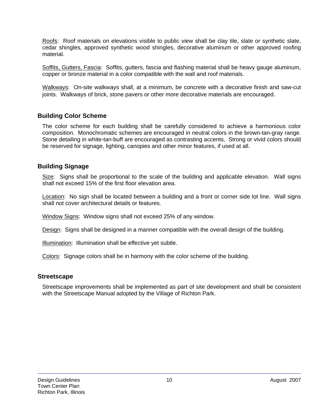Roofs: Roof materials on elevations visible to public view shall be clay tile, slate or synthetic slate, cedar shingles, approved synthetic wood shingles, decorative aluminum or other approved roofing material.

Soffits, Gutters, Fascia: Soffits, gutters, fascia and flashing material shall be heavy gauge aluminum, copper or bronze material in a color compatible with the wall and roof materials.

Walkways: On-site walkways shall, at a minimum, be concrete with a decorative finish and saw-cut joints. Walkways of brick, stone pavers or other more decorative materials are encouraged.

### **Building Color Scheme**

The color scheme for each building shall be carefully considered to achieve a harmonious color composition. Monochromatic schemes are encouraged in neutral colors in the brown-tan-gray range. Stone detailing in white-tan-buff are encouraged as contrasting accents. Strong or vivid colors should be reserved for signage, lighting, canopies and other minor features, if used at all.

### **Building Signage**

Size: Signs shall be proportional to the scale of the building and applicable elevation. Wall signs shall not exceed 15% of the first floor elevation area.

Location: No sign shall be located between a building and a front or corner side lot line. Wall signs shall not cover architectural details or features.

Window Signs: Window signs shall not exceed 25% of any window.

Design: Signs shall be designed in a manner compatible with the overall design of the building.

Illumination: Illumination shall be effective yet subtle.

Colors: Signage colors shall be in harmony with the color scheme of the building.

#### **Streetscape**

Streetscape improvements shall be implemented as part of site development and shall be consistent with the Streetscape Manual adopted by the Village of Richton Park.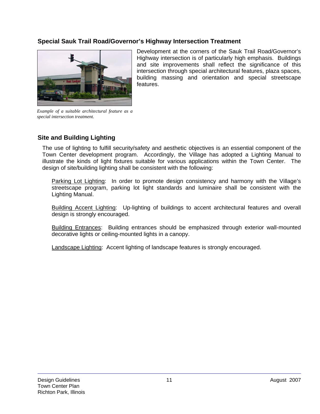# **Special Sauk Trail Road/Governor's Highway Intersection Treatment**



Development at the corners of the Sauk Trail Road/Governor's Highway intersection is of particularly high emphasis. Buildings and site improvements shall reflect the significance of this intersection through special architectural features, plaza spaces, building massing and orientation and special streetscape features.

*Example of a suitable architectural feature as a special intersection treatment.* 

# **Site and Building Lighting**

The use of lighting to fulfill security/safety and aesthetic objectives is an essential component of the Town Center development program. Accordingly, the Village has adopted a Lighting Manual to illustrate the kinds of light fixtures suitable for various applications within the Town Center. The design of site/building lighting shall be consistent with the following:

Parking Lot Lighting: In order to promote design consistency and harmony with the Village's streetscape program, parking lot light standards and luminaire shall be consistent with the Lighting Manual.

Building Accent Lighting: Up-lighting of buildings to accent architectural features and overall design is strongly encouraged.

Building Entrances: Building entrances should be emphasized through exterior wall-mounted decorative lights or ceiling-mounted lights in a canopy.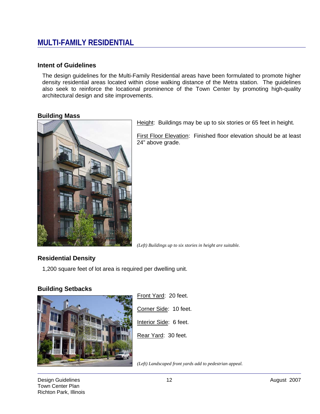# **MULTI-FAMILY RESIDENTIAL**

#### **Intent of Guidelines**

The design guidelines for the Multi-Family Residential areas have been formulated to promote higher density residential areas located within close walking distance of the Metra station. The guidelines also seek to reinforce the locational prominence of the Town Center by promoting high-quality architectural design and site improvements.

#### **Building Mass**



Height: Buildings may be up to six stories or 65 feet in height.

First Floor Elevation: Finished floor elevation should be at least 24" above grade.

*(Left) Buildings up to six stories in height are suitable.* 

# **Residential Density**

1,200 square feet of lot area is required per dwelling unit.

# **Building Setbacks**



Front Yard: 20 feet. Corner Side: 10 feet. Interior Side: 6 feet. Rear Yard: 30 feet.

*(Left) Landscaped front yards add to pedestrian appeal.*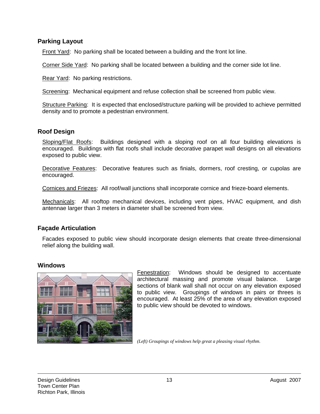### **Parking Layout**

Front Yard: No parking shall be located between a building and the front lot line.

Corner Side Yard: No parking shall be located between a building and the corner side lot line.

Rear Yard: No parking restrictions.

Screening: Mechanical equipment and refuse collection shall be screened from public view.

Structure Parking: It is expected that enclosed/structure parking will be provided to achieve permitted density and to promote a pedestrian environment.

### **Roof Design**

Sloping/Flat Roofs: Buildings designed with a sloping roof on all four building elevations is encouraged. Buildings with flat roofs shall include decorative parapet wall designs on all elevations exposed to public view.

Decorative Features: Decorative features such as finials, dormers, roof cresting, or cupolas are encouraged.

Cornices and Friezes: All roof/wall junctions shall incorporate cornice and frieze-board elements.

Mechanicals: All rooftop mechanical devices, including vent pipes, HVAC equipment, and dish antennae larger than 3 meters in diameter shall be screened from view.

#### **Façade Articulation**

Facades exposed to public view should incorporate design elements that create three-dimensional relief along the building wall.

#### **Windows**



**Fenestration:** Windows should be designed to accentuate architectural massing and promote visual balance. Large sections of blank wall shall not occur on any elevation exposed to public view. Groupings of windows in pairs or threes is encouraged. At least 25% of the area of any elevation exposed to public view should be devoted to windows.

*(Left) Groupings of windows help great a pleasing visual rhythm.*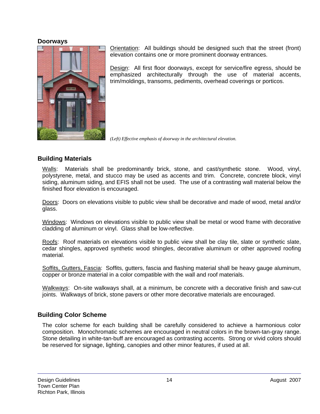#### **Doorways**



Orientation: All buildings should be designed such that the street (front) elevation contains one or more prominent doorway entrances.

Design: All first floor doorways, except for service/fire egress, should be emphasized architecturally through the use of material accents, trim/moldings, transoms, pediments, overhead coverings or porticos.

*(Left) Effective emphasis of doorway in the architectural elevation.* 

# **Building Materials**

Walls: Materials shall be predominantly brick, stone, and cast/synthetic stone. Wood, vinyl, polystyrene, metal, and stucco may be used as accents and trim. Concrete, concrete block, vinyl siding, aluminum siding, and EFIS shall not be used. The use of a contrasting wall material below the finished floor elevation is encouraged.

Doors: Doors on elevations visible to public view shall be decorative and made of wood, metal and/or glass.

Windows: Windows on elevations visible to public view shall be metal or wood frame with decorative cladding of aluminum or vinyl. Glass shall be low-reflective.

Roofs: Roof materials on elevations visible to public view shall be clay tile, slate or synthetic slate, cedar shingles, approved synthetic wood shingles, decorative aluminum or other approved roofing material.

Soffits, Gutters, Fascia: Soffits, gutters, fascia and flashing material shall be heavy gauge aluminum, copper or bronze material in a color compatible with the wall and roof materials.

Walkways: On-site walkways shall, at a minimum, be concrete with a decorative finish and saw-cut joints. Walkways of brick, stone pavers or other more decorative materials are encouraged.

# **Building Color Scheme**

The color scheme for each building shall be carefully considered to achieve a harmonious color composition. Monochromatic schemes are encouraged in neutral colors in the brown-tan-gray range. Stone detailing in white-tan-buff are encouraged as contrasting accents. Strong or vivid colors should be reserved for signage, lighting, canopies and other minor features, if used at all.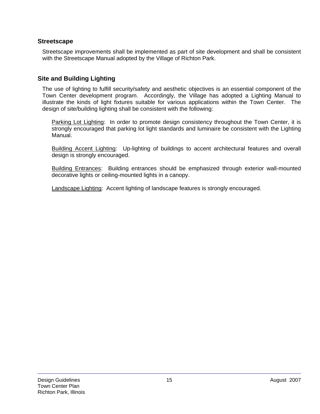## **Streetscape**

Streetscape improvements shall be implemented as part of site development and shall be consistent with the Streetscape Manual adopted by the Village of Richton Park.

# **Site and Building Lighting**

The use of lighting to fulfill security/safety and aesthetic objectives is an essential component of the Town Center development program. Accordingly, the Village has adopted a Lighting Manual to illustrate the kinds of light fixtures suitable for various applications within the Town Center. The design of site/building lighting shall be consistent with the following:

Parking Lot Lighting: In order to promote design consistency throughout the Town Center, it is strongly encouraged that parking lot light standards and luminaire be consistent with the Lighting Manual.

Building Accent Lighting: Up-lighting of buildings to accent architectural features and overall design is strongly encouraged.

**Building Entrances:** Building entrances should be emphasized through exterior wall-mounted decorative lights or ceiling-mounted lights in a canopy.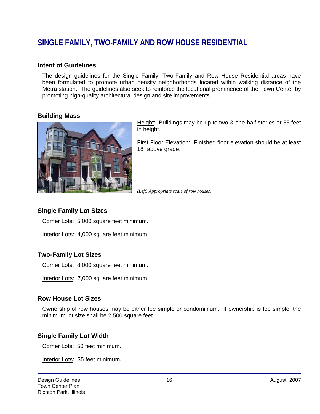# **SINGLE FAMILY, TWO-FAMILY AND ROW HOUSE RESIDENTIAL**

#### **Intent of Guidelines**

The design guidelines for the Single Family, Two-Family and Row House Residential areas have been formulated to promote urban density neighborhoods located within walking distance of the Metra station. The guidelines also seek to reinforce the locational prominence of the Town Center by promoting high-quality architectural design and site improvements.

#### **Building Mass**



Height: Buildings may be up to two & one-half stories or 35 feet in height.

First Floor Elevation: Finished floor elevation should be at least 18" above grade.

*(Left) Appropriate scale of row houses.* 

# **Single Family Lot Sizes**

Corner Lots: 5,000 square feet minimum.

Interior Lots: 4,000 square feet minimum.

# **Two-Family Lot Sizes**

Corner Lots: 8,000 square feet minimum.

Interior Lots: 7,000 square feet minimum.

#### **Row House Lot Sizes**

Ownership of row houses may be either fee simple or condominium. If ownership is fee simple, the minimum lot size shall be 2,500 square feet.

# **Single Family Lot Width**

Corner Lots: 50 feet minimum.

Interior Lots: 35 feet minimum.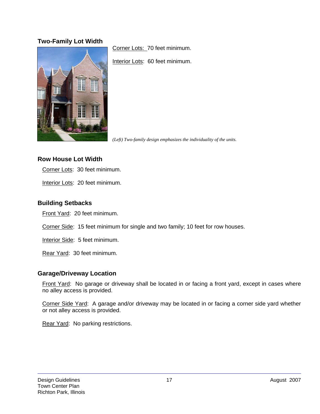# **Two-Family Lot Width**



Corner Lots: 70 feet minimum.

Interior Lots: 60 feet minimum.

*(Left) Two-family design emphasizes the individuality of the units.* 

## **Row House Lot Width**

Corner Lots: 30 feet minimum.

Interior Lots: 20 feet minimum.

# **Building Setbacks**

Front Yard: 20 feet minimum.

Corner Side: 15 feet minimum for single and two family; 10 feet for row houses.

Interior Side: 5 feet minimum.

Rear Yard: 30 feet minimum.

#### **Garage/Driveway Location**

Front Yard: No garage or driveway shall be located in or facing a front yard, except in cases where no alley access is provided.

Corner Side Yard: A garage and/or driveway may be located in or facing a corner side yard whether or not alley access is provided.

Rear Yard: No parking restrictions.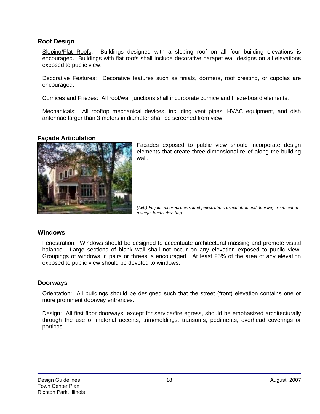## **Roof Design**

Sloping/Flat Roofs: Buildings designed with a sloping roof on all four building elevations is encouraged. Buildings with flat roofs shall include decorative parapet wall designs on all elevations exposed to public view.

Decorative Features: Decorative features such as finials, dormers, roof cresting, or cupolas are encouraged.

Cornices and Friezes: All roof/wall junctions shall incorporate cornice and frieze-board elements.

Mechanicals: All rooftop mechanical devices, including vent pipes, HVAC equipment, and dish antennae larger than 3 meters in diameter shall be screened from view.

#### **Façade Articulation**



Facades exposed to public view should incorporate design elements that create three-dimensional relief along the building wall.

*(Left) Façade incorporates sound fenestration, articulation and doorway treatment in a single family dwelling.* 

#### **Windows**

Fenestration: Windows should be designed to accentuate architectural massing and promote visual balance. Large sections of blank wall shall not occur on any elevation exposed to public view. Groupings of windows in pairs or threes is encouraged. At least 25% of the area of any elevation exposed to public view should be devoted to windows.

#### **Doorways**

Orientation: All buildings should be designed such that the street (front) elevation contains one or more prominent doorway entrances.

Design: All first floor doorways, except for service/fire egress, should be emphasized architecturally through the use of material accents, trim/moldings, transoms, pediments, overhead coverings or porticos.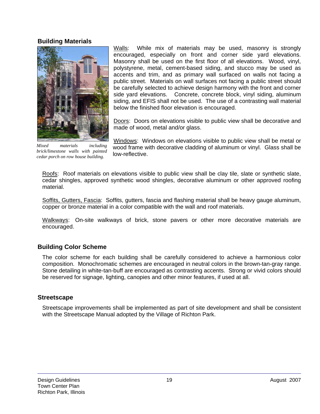#### **Building Materials**



*Mixed materials including brick/limestone walls with painted cedar porch on row house building.* 

Walls: While mix of materials may be used, masonry is strongly encouraged, especially on front and corner side yard elevations. Masonry shall be used on the first floor of all elevations. Wood, vinyl, polystyrene, metal, cement-based siding, and stucco may be used as accents and trim, and as primary wall surfaced on walls not facing a public street. Materials on wall surfaces not facing a public street should be carefully selected to achieve design harmony with the front and corner side yard elevations. Concrete, concrete block, vinyl siding, aluminum siding, and EFIS shall not be used. The use of a contrasting wall material below the finished floor elevation is encouraged.

Doors: Doors on elevations visible to public view shall be decorative and made of wood, metal and/or glass.

Windows: Windows on elevations visible to public view shall be metal or wood frame with decorative cladding of aluminum or vinyl. Glass shall be low-reflective.

Roofs: Roof materials on elevations visible to public view shall be clay tile, slate or synthetic slate, cedar shingles, approved synthetic wood shingles, decorative aluminum or other approved roofing material.

Soffits, Gutters, Fascia: Soffits, gutters, fascia and flashing material shall be heavy gauge aluminum, copper or bronze material in a color compatible with the wall and roof materials.

Walkways: On-site walkways of brick, stone pavers or other more decorative materials are encouraged.

# **Building Color Scheme**

The color scheme for each building shall be carefully considered to achieve a harmonious color composition. Monochromatic schemes are encouraged in neutral colors in the brown-tan-gray range. Stone detailing in white-tan-buff are encouraged as contrasting accents. Strong or vivid colors should be reserved for signage, lighting, canopies and other minor features, if used at all.

# **Streetscape**

Streetscape improvements shall be implemented as part of site development and shall be consistent with the Streetscape Manual adopted by the Village of Richton Park.